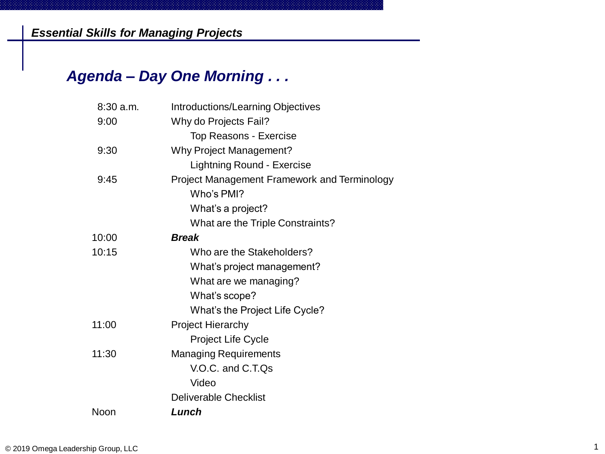## *Agenda – Day One Morning . . .*

| 8:30 a.m. | <b>Introductions/Learning Objectives</b>            |
|-----------|-----------------------------------------------------|
| 9:00      | Why do Projects Fail?                               |
|           | <b>Top Reasons - Exercise</b>                       |
| 9:30      | <b>Why Project Management?</b>                      |
|           | <b>Lightning Round - Exercise</b>                   |
| 9:45      | <b>Project Management Framework and Terminology</b> |
|           | Who's PMI?                                          |
|           | What's a project?                                   |
|           | What are the Triple Constraints?                    |
| 10:00     | <b>Break</b>                                        |
| 10:15     | Who are the Stakeholders?                           |
|           | What's project management?                          |
|           | What are we managing?                               |
|           | What's scope?                                       |
|           | What's the Project Life Cycle?                      |
| 11:00     | <b>Project Hierarchy</b>                            |
|           | <b>Project Life Cycle</b>                           |
| 11:30     | <b>Managing Requirements</b>                        |
|           | V.O.C. and C.T.Qs                                   |
|           | Video                                               |
|           | <b>Deliverable Checklist</b>                        |
| Noon      | Lunch                                               |
|           |                                                     |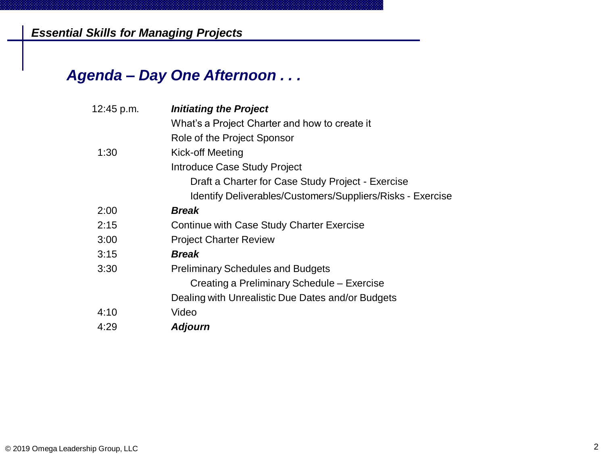*Essential Skills for Managing Projects*

## *Agenda – Day One Afternoon . . .*

| 12:45 p.m. | <b>Initiating the Project</b>                              |
|------------|------------------------------------------------------------|
|            | What's a Project Charter and how to create it              |
|            | Role of the Project Sponsor                                |
| 1:30       | Kick-off Meeting                                           |
|            | Introduce Case Study Project                               |
|            | Draft a Charter for Case Study Project - Exercise          |
|            | Identify Deliverables/Customers/Suppliers/Risks - Exercise |
| 2:00       | <b>Break</b>                                               |
| 2:15       | Continue with Case Study Charter Exercise                  |
| 3:00       | <b>Project Charter Review</b>                              |
| 3:15       | <b>Break</b>                                               |
| 3:30       | <b>Preliminary Schedules and Budgets</b>                   |
|            | Creating a Preliminary Schedule – Exercise                 |
|            | Dealing with Unrealistic Due Dates and/or Budgets          |
| 4:10       | Video                                                      |
| 4:29       | <b>Adjourn</b>                                             |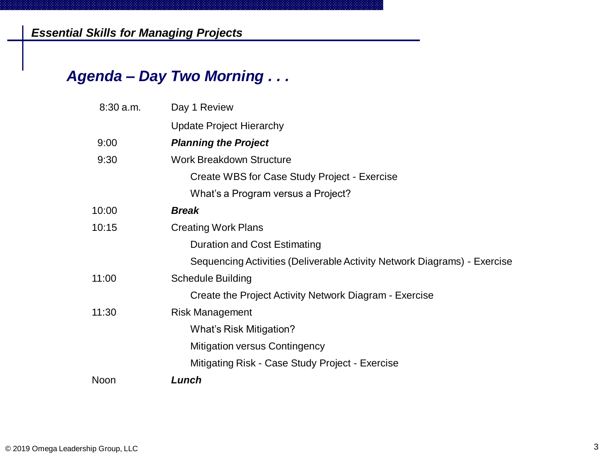## *Agenda – Day Two Morning . . .*

| $8:30$ a.m. | Day 1 Review                                                             |
|-------------|--------------------------------------------------------------------------|
|             | <b>Update Project Hierarchy</b>                                          |
| 9:00        | <b>Planning the Project</b>                                              |
| 9:30        | <b>Work Breakdown Structure</b>                                          |
|             | Create WBS for Case Study Project - Exercise                             |
|             | What's a Program versus a Project?                                       |
| 10:00       | <b>Break</b>                                                             |
| 10:15       | <b>Creating Work Plans</b>                                               |
|             | <b>Duration and Cost Estimating</b>                                      |
|             | Sequencing Activities (Deliverable Activity Network Diagrams) - Exercise |
| 11:00       | <b>Schedule Building</b>                                                 |
|             | Create the Project Activity Network Diagram - Exercise                   |
| 11:30       | <b>Risk Management</b>                                                   |
|             | What's Risk Mitigation?                                                  |
|             | <b>Mitigation versus Contingency</b>                                     |
|             | Mitigating Risk - Case Study Project - Exercise                          |
| Noon        | Lunch                                                                    |